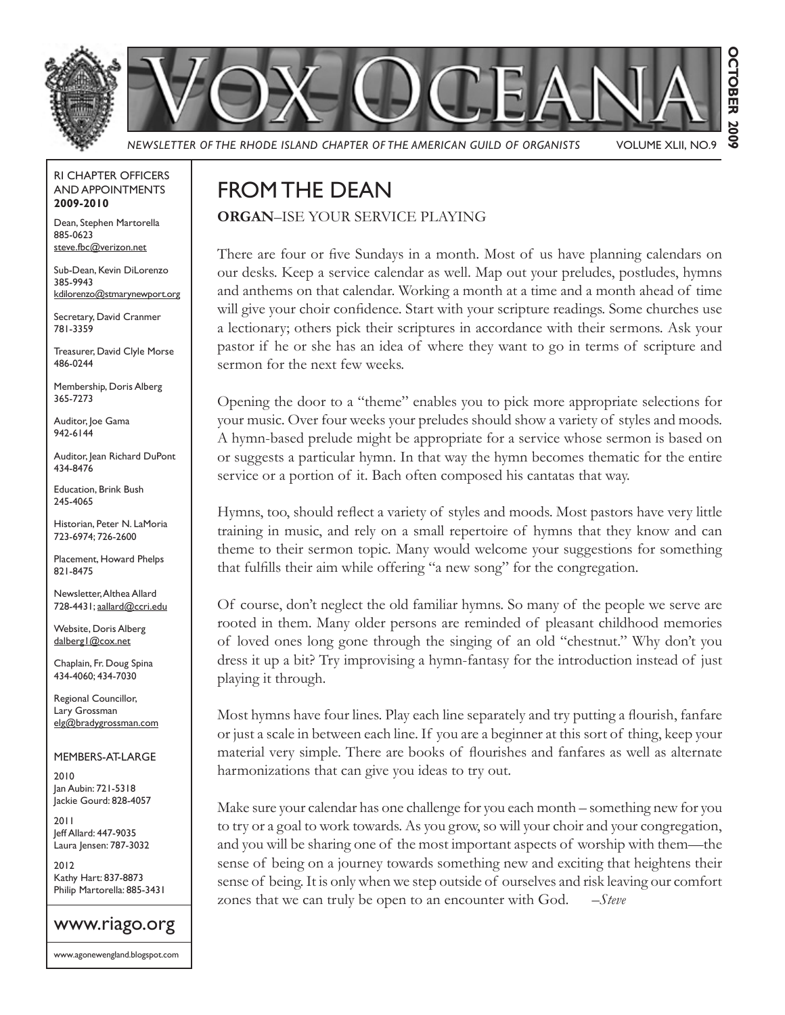

**OCTOBER 2009 OCTOBER 2009**

*NEWSLETTER OF THE RHODE ISLAND CHAPTER OF THE AMERICAN GUILD OF ORGANISTS* VOLUME XLII, NO.9

#### RI CHAPTER OFFICERS AND APPOINTMENTS **2009-2010**

Dean, Stephen Martorella 885-0623 steve.fbc@verizon.net

Sub-Dean, Kevin DiLorenzo 385-9943 kdilorenzo@stmarynewport.org

Secretary, David Cranmer 781-3359

Treasurer, David Clyle Morse 486-0244

Membership, Doris Alberg 365-7273

Auditor, Joe Gama 942-6144

Auditor, Jean Richard DuPont 434-8476

Education, Brink Bush 245-4065

Historian, Peter N. LaMoria 723-6974; 726-2600

Placement, Howard Phelps 821-8475

Newsletter, Althea Allard 728-4431; aallard@ccri.edu

Website, Doris Alberg dalberg1@cox.net

Chaplain, Fr. Doug Spina 434-4060; 434-7030

Regional Councillor, Lary Grossman elg@bradygrossman.com

#### MEMBERS-AT-LARGE

2010 Jan Aubin: 721-5318 Jackie Gourd: 828-4057

2011 Jeff Allard: 447-9035 Laura Jensen: 787-3032

2012 Kathy Hart: 837-8873 Philip Martorella: 885-3431

### www.riago.org

www.agonewengland.blogspot.com

## FROM THE DEAN

**ORGAN**–ISE YOUR SERVICE PLAYING

There are four or five Sundays in a month. Most of us have planning calendars on our desks. Keep a service calendar as well. Map out your preludes, postludes, hymns and anthems on that calendar. Working a month at a time and a month ahead of time will give your choir confidence. Start with your scripture readings. Some churches use a lectionary; others pick their scriptures in accordance with their sermons. Ask your pastor if he or she has an idea of where they want to go in terms of scripture and sermon for the next few weeks.

Opening the door to a "theme" enables you to pick more appropriate selections for your music. Over four weeks your preludes should show a variety of styles and moods. A hymn-based prelude might be appropriate for a service whose sermon is based on or suggests a particular hymn. In that way the hymn becomes thematic for the entire service or a portion of it. Bach often composed his cantatas that way.

Hymns, too, should reflect a variety of styles and moods. Most pastors have very little training in music, and rely on a small repertoire of hymns that they know and can theme to their sermon topic. Many would welcome your suggestions for something that fulfills their aim while offering "a new song" for the congregation.

Of course, don't neglect the old familiar hymns. So many of the people we serve are rooted in them. Many older persons are reminded of pleasant childhood memories of loved ones long gone through the singing of an old "chestnut." Why don't you dress it up a bit? Try improvising a hymn-fantasy for the introduction instead of just playing it through.

Most hymns have four lines. Play each line separately and try putting a flourish, fanfare or just a scale in between each line. If you are a beginner at this sort of thing, keep your material very simple. There are books of flourishes and fanfares as well as alternate harmonizations that can give you ideas to try out.

Make sure your calendar has one challenge for you each month – something new for you to try or a goal to work towards. As you grow, so will your choir and your congregation, and you will be sharing one of the most important aspects of worship with them—the sense of being on a journey towards something new and exciting that heightens their sense of being. It is only when we step outside of ourselves and risk leaving our comfort zones that we can truly be open to an encounter with God. *–Steve*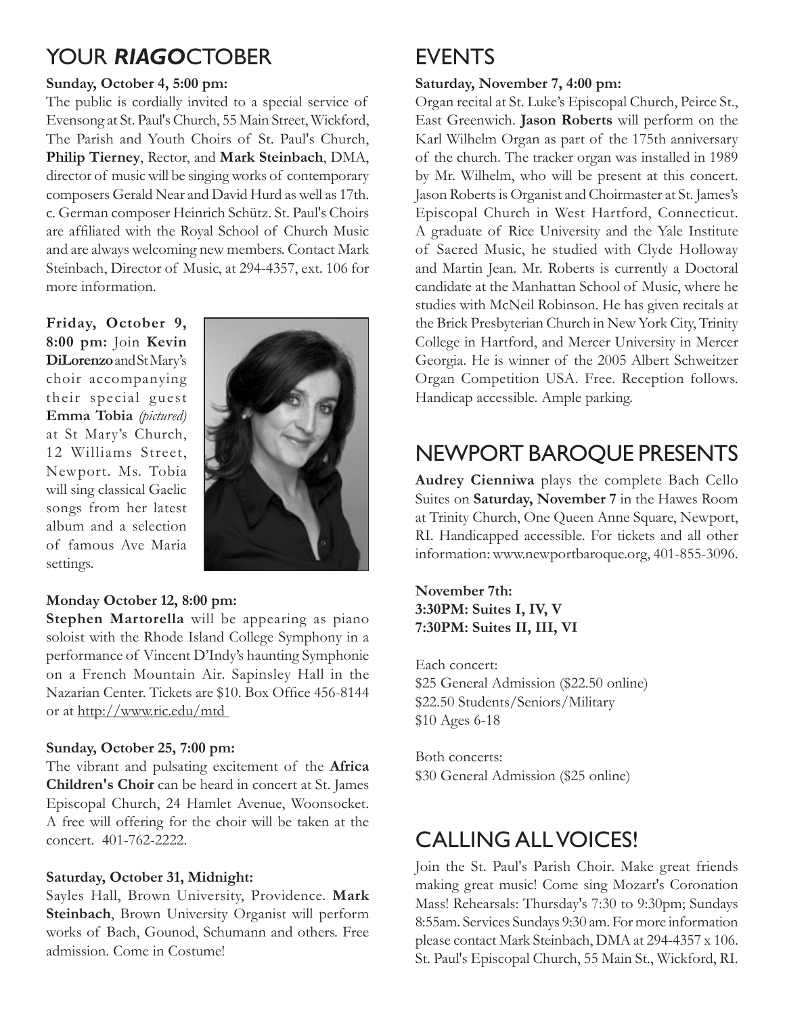## YOUR *RIAGO*CTOBER

#### **Sunday, October 4, 5:00 pm:**

The public is cordially invited to a special service of Evensong at St. Paul's Church, 55 Main Street, Wickford, The Parish and Youth Choirs of St. Paul's Church, **Philip Tierney**, Rector, and **Mark Steinbach**, DMA, director of music will be singing works of contemporary composers Gerald Near and David Hurd as well as 17th. c. German composer Heinrich Schütz. St. Paul's Choirs are affiliated with the Royal School of Church Music and are always welcoming new members. Contact Mark Steinbach, Director of Music, at 294-4357, ext. 106 for more information.

**Friday, October 9, 8:00 pm:** Join **Kevin DiLorenzo** and St Mary's choir accompanying their special guest **Emma Tobia** *(pictured)*  at St Mary's Church, 12 Williams Street, Newport. Ms. Tobia will sing classical Gaelic songs from her latest album and a selection of famous Ave Maria settings.



#### **Monday October 12, 8:00 pm:**

**Stephen Martorella** will be appearing as piano soloist with the Rhode Island College Symphony in a performance of Vincent D'Indy's haunting Symphonie on a French Mountain Air. Sapinsley Hall in the Nazarian Center. Tickets are \$10. Box Office 456-8144 or at http://www.ric.edu/mtd

#### **Sunday, October 25, 7:00 pm:**

The vibrant and pulsating excitement of the **Africa Children's Choir** can be heard in concert at St. James Episcopal Church, 24 Hamlet Avenue, Woonsocket. A free will offering for the choir will be taken at the concert. 401-762-2222.

#### **Saturday, October 31, Midnight:**

Sayles Hall, Brown University, Providence. **Mark Steinbach**, Brown University Organist will perform works of Bach, Gounod, Schumann and others. Free admission. Come in Costume!

## EVENTS

#### **Saturday, November 7, 4:00 pm:**

Organ recital at St. Luke's Episcopal Church, Peirce St., East Greenwich. **Jason Roberts** will perform on the Karl Wilhelm Organ as part of the 175th anniversary of the church. The tracker organ was installed in 1989 by Mr. Wilhelm, who will be present at this concert. Jason Roberts is Organist and Choirmaster at St. James's Episcopal Church in West Hartford, Connecticut. A graduate of Rice University and the Yale Institute of Sacred Music, he studied with Clyde Holloway and Martin Jean. Mr. Roberts is currently a Doctoral candidate at the Manhattan School of Music, where he studies with McNeil Robinson. He has given recitals at the Brick Presbyterian Church in New York City, Trinity College in Hartford, and Mercer University in Mercer Georgia. He is winner of the 2005 Albert Schweitzer Organ Competition USA. Free. Reception follows. Handicap accessible. Ample parking.

## NEWPORT BAROQUE PRESENTS

**Audrey Cienniwa** plays the complete Bach Cello Suites on **Saturday, November 7** in the Hawes Room at Trinity Church, One Queen Anne Square, Newport, RI. Handicapped accessible. For tickets and all other information: www.newportbaroque.org, 401-855-3096.

#### **November 7th: 3:30PM: Suites I, IV, V 7:30PM: Suites II, III, VI**

Each concert: \$25 General Admission (\$22.50 online) \$22.50 Students/Seniors/Military \$10 Ages 6-18

Both concerts: \$30 General Admission (\$25 online)

## CALLING ALL VOICES!

Join the St. Paul's Parish Choir. Make great friends making great music! Come sing Mozart's Coronation Mass! Rehearsals: Thursday's 7:30 to 9:30pm; Sundays 8:55am. Services Sundays 9:30 am. For more information please contact Mark Steinbach, DMA at 294-4357 x 106. St. Paul's Episcopal Church, 55 Main St., Wickford, RI.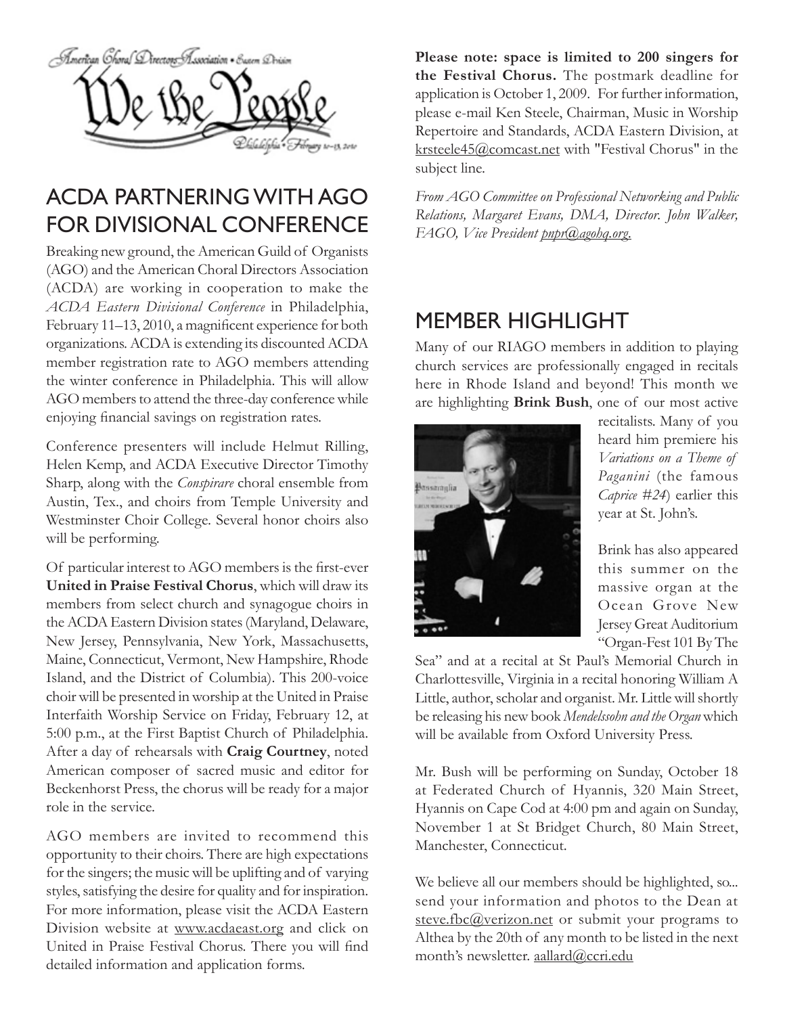

## ACDA PARTNERING WITH AGO FOR DIVISIONAL CONFERENCE

Breaking new ground, the American Guild of Organists (AGO) and the American Choral Directors Association (ACDA) are working in cooperation to make the *ACDA Eastern Divisional Conference* in Philadelphia, February 11–13, 2010, a magnificent experience for both organizations. ACDA is extending its discounted ACDA member registration rate to AGO members attending the winter conference in Philadelphia. This will allow AGO members to attend the three-day conference while enjoying financial savings on registration rates.

Conference presenters will include Helmut Rilling, Helen Kemp, and ACDA Executive Director Timothy Sharp, along with the *Conspirare* choral ensemble from Austin, Tex., and choirs from Temple University and Westminster Choir College. Several honor choirs also will be performing.

Of particular interest to AGO members is the first-ever **United in Praise Festival Chorus**, which will draw its members from select church and synagogue choirs in the ACDA Eastern Division states (Maryland, Delaware, New Jersey, Pennsylvania, New York, Massachusetts, Maine, Connecticut, Vermont, New Hampshire, Rhode Island, and the District of Columbia). This 200-voice choir will be presented in worship at the United in Praise Interfaith Worship Service on Friday, February 12, at 5:00 p.m., at the First Baptist Church of Philadelphia. After a day of rehearsals with **Craig Courtney**, noted American composer of sacred music and editor for Beckenhorst Press, the chorus will be ready for a major role in the service.

AGO members are invited to recommend this opportunity to their choirs. There are high expectations for the singers; the music will be uplifting and of varying styles, satisfying the desire for quality and for inspiration. For more information, please visit the ACDA Eastern Division website at www.acdaeast.org and click on United in Praise Festival Chorus. There you will find detailed information and application forms.

**Please note: space is limited to 200 singers for the Festival Chorus.** The postmark deadline for application is October 1, 2009.

For further information, please e-mail Ken Steele, Chairman, Music in Worship Repertoire and Standards, ACDA Eastern Division, at krsteele45@comcast.net with "Festival Chorus" in the subject line.

*From AGO Committee on Professional Networking and Public Relations, Margaret Evans, DMA, Director. John Walker, FAGO, Vice President pnpr@agohq.org.*

## MEMBER HIGHLIGHT

Many of our RIAGO members in addition to playing church services are professionally engaged in recitals here in Rhode Island and beyond! This month we are highlighting **Brink Bush**, one of our most active



recitalists. Many of you heard him premiere his *Variations on a Theme of Paganini* (the famous *Caprice #24*) earlier this year at St. John's.

Brink has also appeared this summer on the massive organ at the Ocean Grove New Jersey Great Auditorium "Organ-Fest 101 By The

Sea" and at a recital at St Paul's Memorial Church in Charlottesville, Virginia in a recital honoring William A Little, author, scholar and organist. Mr. Little will shortly be releasing his new book *Mendelssohn and the Organ* which will be available from Oxford University Press.

Mr. Bush will be performing on Sunday, October 18 at Federated Church of Hyannis, 320 Main Street, Hyannis on Cape Cod at 4:00 pm and again on Sunday, November 1 at St Bridget Church, 80 Main Street, Manchester, Connecticut.

We believe all our members should be highlighted, so... send your information and photos to the Dean at steve.fbc@verizon.net or submit your programs to Althea by the 20th of any month to be listed in the next month's newsletter. aallard@ccri.edu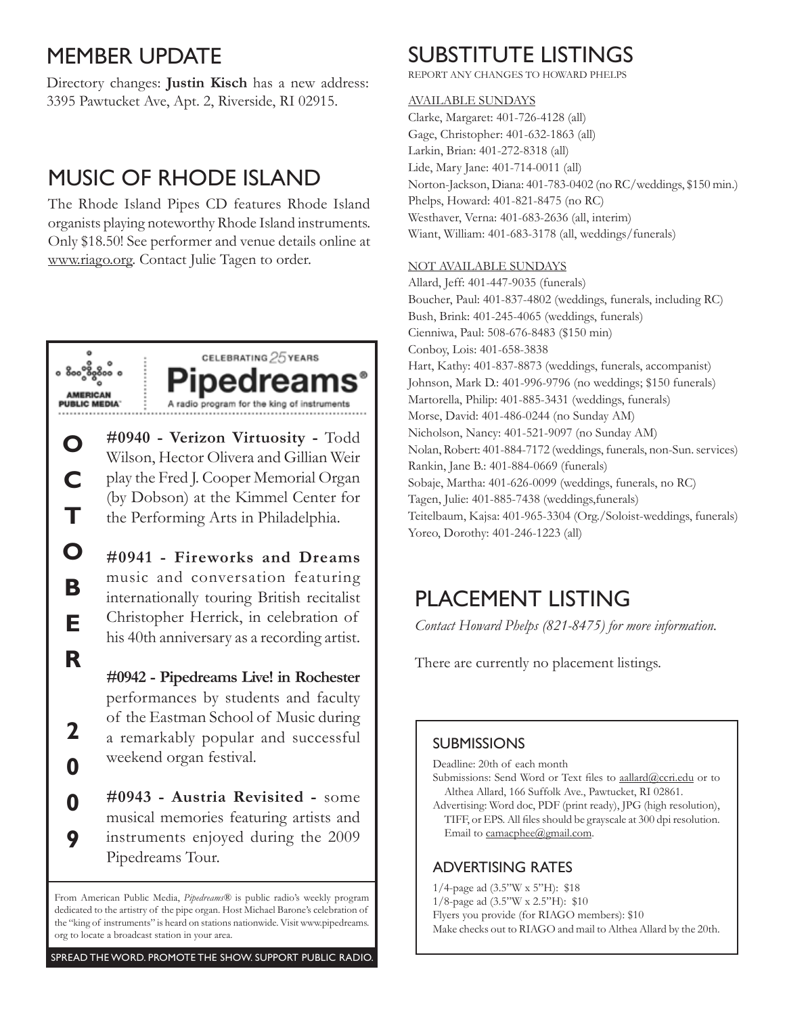## MEMBER UPDATE

Directory changes: **Justin Kisch** has a new address: 3395 Pawtucket Ave, Apt. 2, Riverside, RI 02915.

## MUSIC OF RHODE ISLAND

The Rhode Island Pipes CD features Rhode Island organists playing noteworthy Rhode Island instruments. Only \$18.50! See performer and venue details online at www.riago.org. Contact Julie Tagen to order.



**O**

**C**

**T**

**O**

**B**

**E**

**R**

**2**

**0**

**0**

**9**



**#0940 - Verizon Virtuosity -** Todd Wilson, Hector Olivera and Gillian Weir play the Fred J. Cooper Memorial Organ (by Dobson) at the Kimmel Center for the Performing Arts in Philadelphia.

**#0941 - Fireworks and Dreams**  music and conversation featuring internationally touring British recitalist Christopher Herrick, in celebration of his 40th anniversary as a recording artist.

**#0942 - Pipedreams Live! in Rochester**  performances by students and faculty of the Eastman School of Music during a remarkably popular and successful weekend organ festival.

**#0943 - Austria Revisited -** some musical memories featuring artists and instruments enjoyed during the 2009 Pipedreams Tour.

From American Public Media, *Pipedreams®* is public radio's weekly program dedicated to the artistry of the pipe organ. Host Michael Barone's celebration of the "king of instruments" is heard on stations nationwide. Visit www.pipedreams. org to locate a broadcast station in your area.

## SUBSTITUTE LISTINGS

REPORT ANY CHANGES TO HOWARD PHELPS

#### AVAILABLE SUNDAYS

Clarke, Margaret: 401-726-4128 (all) Gage, Christopher: 401-632-1863 (all) Larkin, Brian: 401-272-8318 (all) Lide, Mary Jane: 401-714-0011 (all) Norton-Jackson, Diana: 401-783-0402 (no RC/weddings, \$150 min.) Phelps, Howard: 401-821-8475 (no RC) Westhaver, Verna: 401-683-2636 (all, interim) Wiant, William: 401-683-3178 (all, weddings/funerals)

#### NOT AVAILABLE SUNDAYS

Allard, Jeff: 401-447-9035 (funerals) Boucher, Paul: 401-837-4802 (weddings, funerals, including RC) Bush, Brink: 401-245-4065 (weddings, funerals) Cienniwa, Paul: 508-676-8483 (\$150 min) Conboy, Lois: 401-658-3838 Hart, Kathy: 401-837-8873 (weddings, funerals, accompanist) Johnson, Mark D.: 401-996-9796 (no weddings; \$150 funerals) Martorella, Philip: 401-885-3431 (weddings, funerals) Morse, David: 401-486-0244 (no Sunday AM) Nicholson, Nancy: 401-521-9097 (no Sunday AM) Nolan, Robert: 401-884-7172 (weddings, funerals, non-Sun. services) Rankin, Jane B.: 401-884-0669 (funerals) Sobaje, Martha: 401-626-0099 (weddings, funerals, no RC) Tagen, Julie: 401-885-7438 (weddings,funerals) Teitelbaum, Kajsa: 401-965-3304 (Org./Soloist-weddings, funerals) Yoreo, Dorothy: 401-246-1223 (all)

## PLACEMENT LISTING

*Contact Howard Phelps (821-8475) for more information.*

There are currently no placement listings.

#### **SUBMISSIONS**

Deadline: 20th of each month

- Submissions: Send Word or Text files to aallard@ccri.edu or to Althea Allard, 166 Suffolk Ave., Pawtucket, RI 02861.
- Advertising: Word doc, PDF (print ready), JPG (high resolution), TIFF, or EPS. All files should be grayscale at 300 dpi resolution. Email to camacphee@gmail.com.

#### ADVERTISING RATES

- 1/4-page ad (3.5"W x 5"H): \$18
- 1/8-page ad (3.5"W x 2.5"H): \$10
- Flyers you provide (for RIAGO members): \$10
- Make checks out to RIAGO and mail to Althea Allard by the 20th.